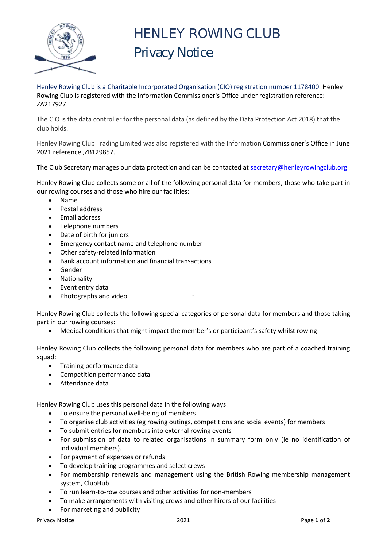

## HENLEY ROWING CLUB Privacy Notice

Henley Rowing Club is a Charitable Incorporated Organisation (CIO) registration number 1178400. Henley Rowing Club is registered with the Information Commissioner's Office under registration reference: ZA217927.

The CIO is the data controller for the personal data (as defined by the Data Protection Act 2018) that the club holds.

Henley Rowing Club Trading Limited was also registered with the Information Commissioner's Office in June 2021 reference ,ZB129857.

The [Club Secretary m](https://www.marlowrowingclub.org.uk/component/contact/contact/75-committee-bar-committee-and-officers/1)anages our data protection and can be contacted at [secretary@henleyrowingclub.org](mailto:secretary@henleyrowingclub.org)

Henley Rowing Club collects some or all of the following personal data for members, those who take part in our rowing courses and those who hire our facilities:

- Name
- Postal address
- Email address
- Telephone numbers
- Date of birth for juniors
- Emergency contact name and telephone number
- Other safety-related information
- Bank account information and financial transactions
- Gender
- Nationality
- Event entry data
- Photographs and video

Henley Rowing Club collects the following special categories of personal data for members and those taking part in our rowing courses:

Medical conditions that might impact the member's or participant's safety whilst rowing

Henley Rowing Club collects the following personal data for members who are part of a coached training squad:

- Training performance data
- Competition performance data
- Attendance data

Henley Rowing Club uses this personal data in the following ways:

- To ensure the personal well-being of members
- To organise club activities (eg rowing outings, competitions and social events) for members
- To submit entries for members into external rowing events
- For submission of data to related organisations in summary form only (ie no identification of individual members).
- For payment of expenses or refunds
- To develop training programmes and select crews
- For membership renewals and management using the British Rowing membership management system, ClubHub
- To run learn-to-row courses and other activities for non-members
- To make arrangements with visiting crews and other hirers of our facilities
- For marketing and publicity